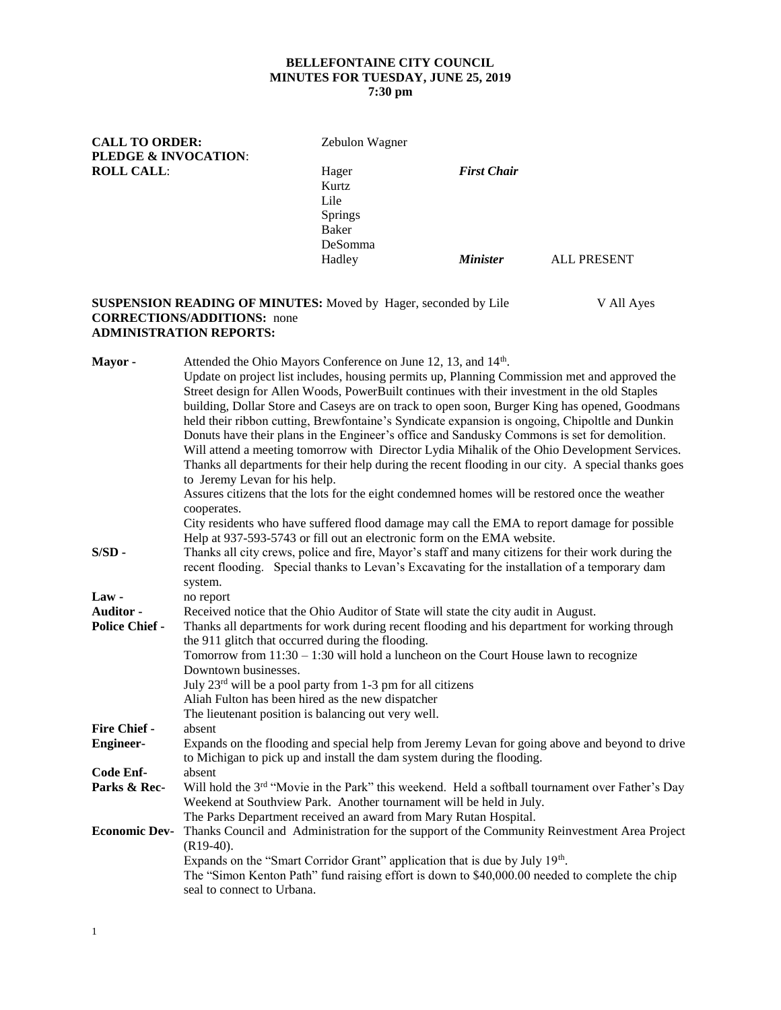# **BELLEFONTAINE CITY COUNCIL MINUTES FOR TUESDAY, JUNE 25, 2019**

## **7:30 pm**

**CALL TO ORDER:** Zebulon Wagner **PLEDGE & INVOCATION**: **ROLL CALL**: Hager *First Chair* Kurtz Lile Springs Baker DeSomma Hadley *Minister* ALL PRESENT

#### **SUSPENSION READING OF MINUTES:** Moved by Hager, seconded by Lile V All Ayes **CORRECTIONS/ADDITIONS:** none **ADMINISTRATION REPORTS:**

Mayor - Attended the Ohio Mayors Conference on June 12, 13, and 14<sup>th</sup>. Update on project list includes, housing permits up, Planning Commission met and approved the Street design for Allen Woods, PowerBuilt continues with their investment in the old Staples building, Dollar Store and Caseys are on track to open soon, Burger King has opened, Goodmans held their ribbon cutting, Brewfontaine's Syndicate expansion is ongoing, Chipoltle and Dunkin Donuts have their plans in the Engineer's office and Sandusky Commons is set for demolition. Will attend a meeting tomorrow with Director Lydia Mihalik of the Ohio Development Services. Thanks all departments for their help during the recent flooding in our city. A special thanks goes to Jeremy Levan for his help. Assures citizens that the lots for the eight condemned homes will be restored once the weather cooperates. City residents who have suffered flood damage may call the EMA to report damage for possible Help at 937-593-5743 or fill out an electronic form on the EMA website. **S/SD -** Thanks all city crews, police and fire, Mayor's staff and many citizens for their work during the recent flooding. Special thanks to Levan's Excavating for the installation of a temporary dam system. **Law -** no report **Auditor -** Received notice that the Ohio Auditor of State will state the city audit in August. **Police Chief -** Thanks all departments for work during recent flooding and his department for working through the 911 glitch that occurred during the flooding. Tomorrow from 11:30 – 1:30 will hold a luncheon on the Court House lawn to recognize Downtown businesses. July 23rd will be a pool party from 1-3 pm for all citizens Aliah Fulton has been hired as the new dispatcher The lieutenant position is balancing out very well. **Fire Chief -** absent **Engineer-** Expands on the flooding and special help from Jeremy Levan for going above and beyond to drive to Michigan to pick up and install the dam system during the flooding. **Code Enf-** absent Parks & Rec- Will hold the 3<sup>rd</sup> "Movie in the Park" this weekend. Held a softball tournament over Father's Day Weekend at Southview Park. Another tournament will be held in July. The Parks Department received an award from Mary Rutan Hospital. **Economic Dev-** Thanks Council and Administration for the support of the Community Reinvestment Area Project (R19-40). Expands on the "Smart Corridor Grant" application that is due by July 19<sup>th</sup>. The "Simon Kenton Path" fund raising effort is down to \$40,000.00 needed to complete the chip seal to connect to Urbana.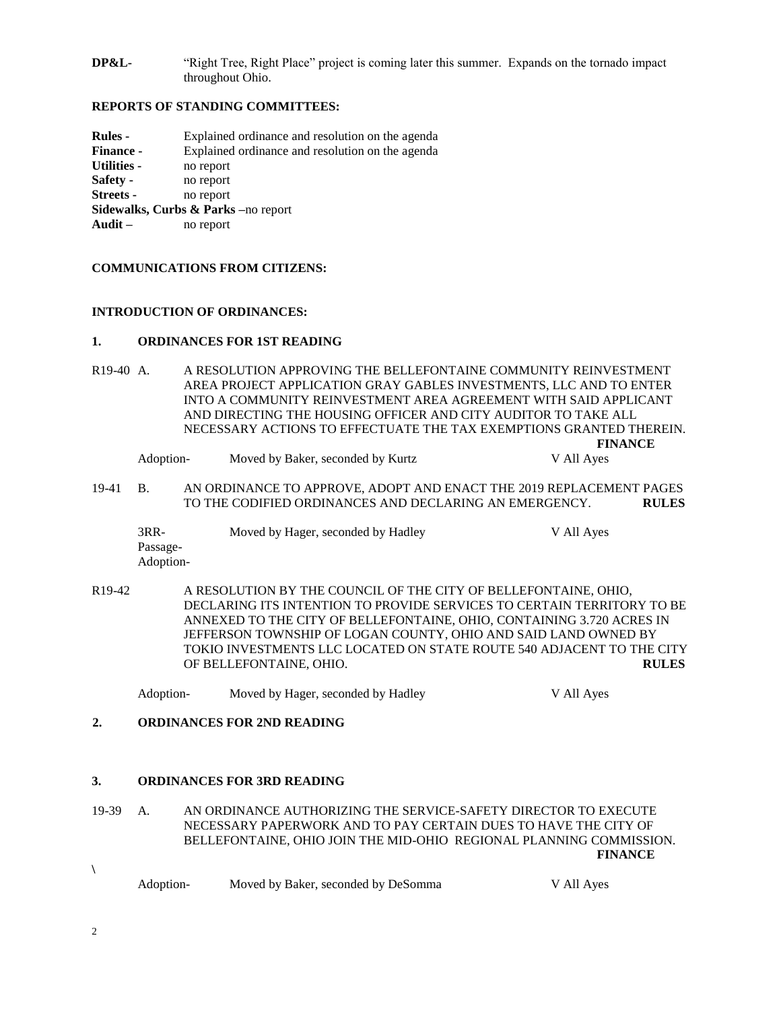**DP&L-** "Right Tree, Right Place" project is coming later this summer. Expands on the tornado impact throughout Ohio.

#### **REPORTS OF STANDING COMMITTEES:**

| Rules -                             | Explained ordinance and resolution on the agenda |  |  |  |  |  |
|-------------------------------------|--------------------------------------------------|--|--|--|--|--|
| <b>Finance -</b>                    | Explained ordinance and resolution on the agenda |  |  |  |  |  |
| <b>Utilities -</b>                  | no report                                        |  |  |  |  |  |
| Safety -                            | no report                                        |  |  |  |  |  |
| <b>Streets -</b>                    | no report                                        |  |  |  |  |  |
| Sidewalks, Curbs & Parks -no report |                                                  |  |  |  |  |  |
| Audit $-$                           | no report                                        |  |  |  |  |  |
|                                     |                                                  |  |  |  |  |  |

#### **COMMUNICATIONS FROM CITIZENS:**

#### **INTRODUCTION OF ORDINANCES:**

#### **1. ORDINANCES FOR 1ST READING**

R19-40 A. A RESOLUTION APPROVING THE BELLEFONTAINE COMMUNITY REINVESTMENT AREA PROJECT APPLICATION GRAY GABLES INVESTMENTS, LLC AND TO ENTER INTO A COMMUNITY REINVESTMENT AREA AGREEMENT WITH SAID APPLICANT AND DIRECTING THE HOUSING OFFICER AND CITY AUDITOR TO TAKE ALL NECESSARY ACTIONS TO EFFECTUATE THE TAX EXEMPTIONS GRANTED THEREIN.

| Adoption- | Moved by Baker, seconded by Kurtz | V All Aves |
|-----------|-----------------------------------|------------|
|           |                                   |            |

19-41 B. AN ORDINANCE TO APPROVE, ADOPT AND ENACT THE 2019 REPLACEMENT PAGES TO THE CODIFIED ORDINANCES AND DECLARING AN EMERGENCY. **RULES**

| $3RR-$    | Moved by Hager, seconded by Hadley | V All Ayes |
|-----------|------------------------------------|------------|
| Passage-  |                                    |            |
| Adoption- |                                    |            |

- R19-42 A RESOLUTION BY THE COUNCIL OF THE CITY OF BELLEFONTAINE, OHIO, DECLARING ITS INTENTION TO PROVIDE SERVICES TO CERTAIN TERRITORY TO BE ANNEXED TO THE CITY OF BELLEFONTAINE, OHIO, CONTAINING 3.720 ACRES IN JEFFERSON TOWNSHIP OF LOGAN COUNTY, OHIO AND SAID LAND OWNED BY TOKIO INVESTMENTS LLC LOCATED ON STATE ROUTE 540 ADJACENT TO THE CITY OF BELLEFONTAINE, OHIO. **RULES**
	- Adoption- Moved by Hager, seconded by Hadley V All Ayes

**FINANCE**

### **2. ORDINANCES FOR 2ND READING**

#### **3. ORDINANCES FOR 3RD READING**

19-39 A. AN ORDINANCE AUTHORIZING THE SERVICE-SAFETY DIRECTOR TO EXECUTE NECESSARY PAPERWORK AND TO PAY CERTAIN DUES TO HAVE THE CITY OF BELLEFONTAINE, OHIO JOIN THE MID-OHIO REGIONAL PLANNING COMMISSION. **FINANCE**

| Adoption- | Moved by Baker, seconded by DeSomma | V All Ayes |
|-----------|-------------------------------------|------------|
|-----------|-------------------------------------|------------|

2

**\**